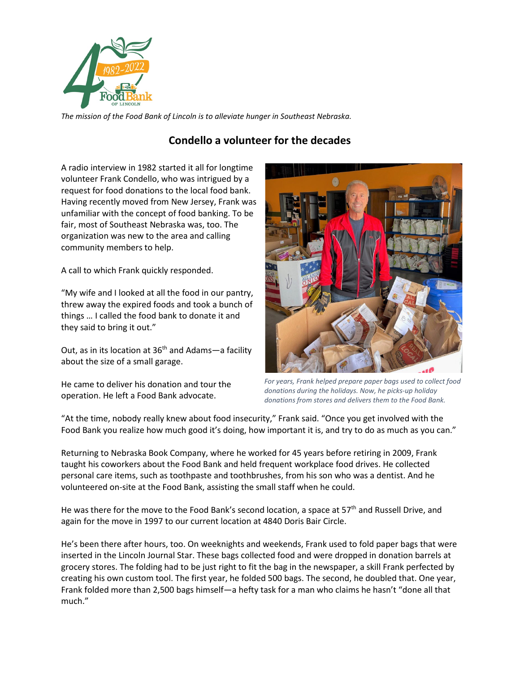

*The mission of the Food Bank of Lincoln is to alleviate hunger in Southeast Nebraska.* 

## **Condello a volunteer for the decades**

A radio interview in 1982 started it all for longtime volunteer Frank Condello, who was intrigued by a request for food donations to the local food bank. Having recently moved from New Jersey, Frank was unfamiliar with the concept of food banking. To be fair, most of Southeast Nebraska was, too. The organization was new to the area and calling community members to help.

A call to which Frank quickly responded.

"My wife and I looked at all the food in our pantry, threw away the expired foods and took a bunch of things … I called the food bank to donate it and they said to bring it out."

Out, as in its location at  $36<sup>th</sup>$  and Adams—a facility about the size of a small garage.

He came to deliver his donation and tour the operation. He left a Food Bank advocate.



*For years, Frank helped prepare paper bags used to collect food donations during the holidays. Now, he picks-up holiday donations from stores and delivers them to the Food Bank.* 

"At the time, nobody really knew about food insecurity," Frank said. "Once you get involved with the Food Bank you realize how much good it's doing, how important it is, and try to do as much as you can."

Returning to Nebraska Book Company, where he worked for 45 years before retiring in 2009, Frank taught his coworkers about the Food Bank and held frequent workplace food drives. He collected personal care items, such as toothpaste and toothbrushes, from his son who was a dentist. And he volunteered on-site at the Food Bank, assisting the small staff when he could.

He was there for the move to the Food Bank's second location, a space at  $57<sup>th</sup>$  and Russell Drive, and again for the move in 1997 to our current location at 4840 Doris Bair Circle.

He's been there after hours, too. On weeknights and weekends, Frank used to fold paper bags that were inserted in the Lincoln Journal Star. These bags collected food and were dropped in donation barrels at grocery stores. The folding had to be just right to fit the bag in the newspaper, a skill Frank perfected by creating his own custom tool. The first year, he folded 500 bags. The second, he doubled that. One year, Frank folded more than 2,500 bags himself—a hefty task for a man who claims he hasn't "done all that much."